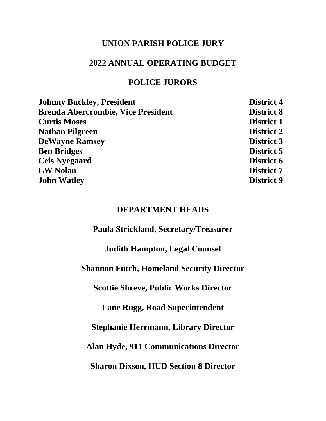### **UNION PARISH POLICE JURY**

### **2022 ANNUAL OPERATING BUDGET**

### **POLICE JURORS**

| <b>Johnny Buckley, President</b>          | <b>District 4</b> |
|-------------------------------------------|-------------------|
| <b>Brenda Abercrombie, Vice President</b> | <b>District 8</b> |
| <b>Curtis Moses</b>                       | <b>District 1</b> |
| <b>Nathan Pilgreen</b>                    | <b>District 2</b> |
| <b>DeWayne Ramsey</b>                     | <b>District 3</b> |
| <b>Ben Bridges</b>                        | District 5        |
| <b>Ceis Nyegaard</b>                      | District 6        |
| <b>LW Nolan</b>                           | <b>District 7</b> |
| <b>John Watley</b>                        | <b>District 9</b> |
|                                           |                   |

### **DEPARTMENT HEADS**

**Paula Strickland, Secretary/Treasurer**

**Judith Hampton, Legal Counsel**

**Shannon Futch, Homeland Security Director**

**Scottie Shreve, Public Works Director**

**Lane Rugg, Road Superintendent**

**Stephanie Herrmann, Library Director**

**Alan Hyde, 911 Communications Director**

**Sharon Dixson, HUD Section 8 Director**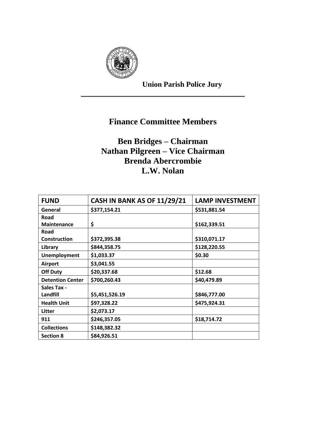

**Union Parish Police Jury**

# **Finance Committee Members**

\_\_\_\_\_\_\_\_\_\_\_\_\_\_\_\_\_\_\_\_\_\_\_\_\_\_\_\_\_\_\_\_\_\_\_\_\_\_\_\_\_\_\_\_

# **Ben Bridges – Chairman Nathan Pilgreen – Vice Chairman Brenda Abercrombie L.W. Nolan**

| <b>FUND</b>             | <b>CASH IN BANK AS OF 11/29/21</b> | <b>LAMP INVESTMENT</b> |
|-------------------------|------------------------------------|------------------------|
| General                 | \$377,154.21                       | \$531,881.54           |
| Road                    |                                    |                        |
| <b>Maintenance</b>      | \$                                 | \$162,339.51           |
| Road                    |                                    |                        |
| <b>Construction</b>     | \$372,395.38                       | \$310,071.17           |
| Library                 | \$844,358.75                       | \$128,220.55           |
| <b>Unemployment</b>     | \$1,033.37                         | \$0.30                 |
| <b>Airport</b>          | \$3,041.55                         |                        |
| <b>Off Duty</b>         | \$20,337.68                        | \$12.68                |
| <b>Detention Center</b> | \$700,260.43                       | \$40,479.89            |
| <b>Sales Tax -</b>      |                                    |                        |
| Landfill                | \$5,451,526.19                     | \$846,777.00           |
| <b>Health Unit</b>      | \$97,328.22                        | \$475,924.31           |
| Litter                  | \$2,073.17                         |                        |
| 911                     | \$246,357.05                       | \$18,714.72            |
| <b>Collections</b>      | \$148,382.32                       |                        |
| <b>Section 8</b>        | \$84,926.51                        |                        |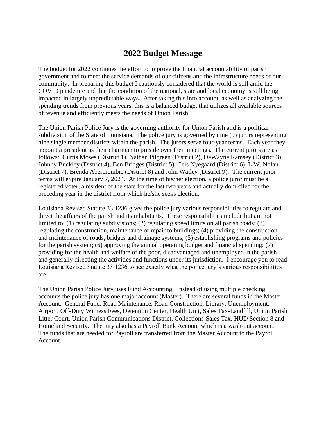## **2022 Budget Message**

The budget for 2022 continues the effort to improve the financial accountability of parish government and to meet the service demands of our citizens and the infrastructure needs of our community. In preparing this budget I cautiously considered that the world is still amid the COVID pandemic and that the condition of the national, state and local economy is still being impacted in largely unpredictable ways. After taking this into account, as well as analyzing the spending trends from previous years, this is a balanced budget that utilizes all available sources of revenue and efficiently meets the needs of Union Parish.

The Union Parish Police Jury is the governing authority for Union Parish and is a political subdivision of the State of Louisiana. The police jury is governed by nine (9) jurors representing nine single member districts within the parish. The jurors serve four-year terms. Each year they appoint a president as their chairman to preside over their meetings. The current jurors are as follows: Curtis Moses (District 1), Nathan Pilgreen (District 2), DeWayne Ramsey (District 3), Johnny Buckley (District 4), Ben Bridges (District 5), Ceis Nyegaard (District 6), L.W. Nolan (District 7), Brenda Abercrombie (District 8) and John Watley (District 9). The current juror terms will expire January 7, 2024. At the time of his/her election, a police juror must be a registered voter, a resident of the state for the last two years and actually domiciled for the preceding year in the district from which he/she seeks election.

Louisiana Revised Statute 33:1236 gives the police jury various responsibilities to regulate and direct the affairs of the parish and its inhabitants. These responsibilities include but are not limited to: (1) regulating subdivisions; (2) regulating speed limits on all parish roads; (3) regulating the construction, maintenance or repair to buildings; (4) providing the construction and maintenance of roads, bridges and drainage systems; (5) establishing programs and policies for the parish system; (6) approving the annual operating budget and financial spending; (7) providing for the health and welfare of the poor, disadvantaged and unemployed in the parish and generally directing the activities and functions under its jurisdiction. I encourage you to read Louisiana Revised Statute 33:1236 to see exactly what the police jury's various responsibilities are.

The Union Parish Police Jury uses Fund Accounting. Instead of using multiple checking accounts the police jury has one major account (Master). There are several funds in the Master Account: General Fund, Road Maintenance, Road Construction, Library, Unemployment, Airport, Off-Duty Witness Fees, Detention Center, Health Unit, Sales Tax-Landfill, Union Parish Litter Court, Union Parish Communications District, Collections-Sales Tax, HUD Section 8 and Homeland Security. The jury also has a Payroll Bank Account which is a wash-out account. The funds that are needed for Payroll are transferred from the Master Account to the Payroll Account.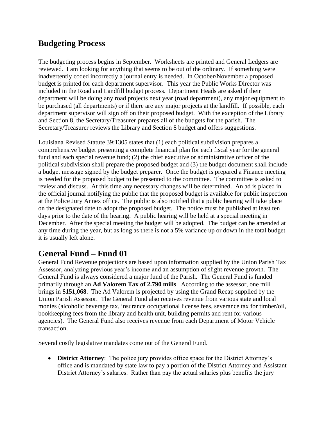## **Budgeting Process**

The budgeting process begins in September. Worksheets are printed and General Ledgers are reviewed. I am looking for anything that seems to be out of the ordinary. If something were inadvertently coded incorrectly a journal entry is needed. In October/November a proposed budget is printed for each department supervisor. This year the Public Works Director was included in the Road and Landfill budget process. Department Heads are asked if their department will be doing any road projects next year (road department), any major equipment to be purchased (all departments) or if there are any major projects at the landfill. If possible, each department supervisor will sign off on their proposed budget. With the exception of the Library and Section 8, the Secretary/Treasurer prepares all of the budgets for the parish. The Secretary/Treasurer reviews the Library and Section 8 budget and offers suggestions.

Louisiana Revised Statute 39:1305 states that (1) each political subdivision prepares a comprehensive budget presenting a complete financial plan for each fiscal year for the general fund and each special revenue fund; (2) the chief executive or administrative officer of the political subdivision shall prepare the proposed budget and (3) the budget document shall include a budget message signed by the budget preparer. Once the budget is prepared a Finance meeting is needed for the proposed budget to be presented to the committee. The committee is asked to review and discuss. At this time any necessary changes will be determined. An ad is placed in the official journal notifying the public that the proposed budget is available for public inspection at the Police Jury Annex office. The public is also notified that a public hearing will take place on the designated date to adopt the proposed budget. The notice must be published at least ten days prior to the date of the hearing. A public hearing will be held at a special meeting in December. After the special meeting the budget will be adopted. The budget can be amended at any time during the year, but as long as there is not a 5% variance up or down in the total budget it is usually left alone.

## **General Fund – Fund 01**

General Fund Revenue projections are based upon information supplied by the Union Parish Tax Assessor, analyzing previous year's income and an assumption of slight revenue growth. The General Fund is always considered a major fund of the Parish. The General Fund is funded primarily through an **Ad Valorem Tax of 2.790 mills**. According to the assessor, one mill brings in **\$151,068**. The Ad Valorem is projected by using the Grand Recap supplied by the Union Parish Assessor. The General Fund also receives revenue from various state and local monies (alcoholic beverage tax, insurance occupational license fees, severance tax for timber/oil, bookkeeping fees from the library and health unit, building permits and rent for various agencies). The General Fund also receives revenue from each Department of Motor Vehicle transaction.

Several costly legislative mandates come out of the General Fund.

• **District Attorney**: The police jury provides office space for the District Attorney's office and is mandated by state law to pay a portion of the District Attorney and Assistant District Attorney's salaries. Rather than pay the actual salaries plus benefits the jury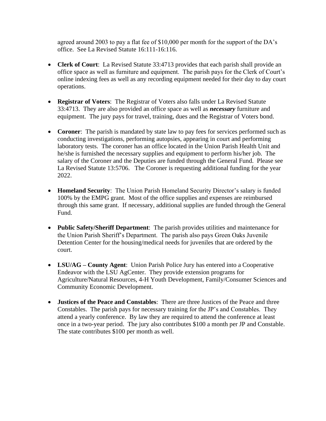agreed around 2003 to pay a flat fee of \$10,000 per month for the support of the DA's office. See La Revised Statute 16:111-16:116.

- **Clerk of Court**: La Revised Statute 33:4713 provides that each parish shall provide an office space as well as furniture and equipment. The parish pays for the Clerk of Court's online indexing fees as well as any recording equipment needed for their day to day court operations.
- **Registrar of Voters**: The Registrar of Voters also falls under La Revised Statute 33:4713. They are also provided an office space as well as *necessary* furniture and equipment. The jury pays for travel, training, dues and the Registrar of Voters bond.
- **Coroner**: The parish is mandated by state law to pay fees for services performed such as conducting investigations, performing autopsies, appearing in court and performing laboratory tests. The coroner has an office located in the Union Parish Health Unit and he/she is furnished the necessary supplies and equipment to perform his/her job. The salary of the Coroner and the Deputies are funded through the General Fund. Please see La Revised Statute 13:5706. The Coroner is requesting additional funding for the year 2022.
- **Homeland Security**: The Union Parish Homeland Security Director's salary is funded 100% by the EMPG grant. Most of the office supplies and expenses are reimbursed through this same grant. If necessary, additional supplies are funded through the General Fund.
- **Public Safety/Sheriff Department**: The parish provides utilities and maintenance for the Union Parish Sheriff's Department. The parish also pays Green Oaks Juvenile Detention Center for the housing/medical needs for juveniles that are ordered by the court.
- **LSU/AG – County Agent**: Union Parish Police Jury has entered into a Cooperative Endeavor with the LSU AgCenter. They provide extension programs for Agriculture/Natural Resources, 4-H Youth Development, Family/Consumer Sciences and Community Economic Development.
- **Justices of the Peace and Constables**: There are three Justices of the Peace and three Constables. The parish pays for necessary training for the JP's and Constables. They attend a yearly conference. By law they are required to attend the conference at least once in a two-year period. The jury also contributes \$100 a month per JP and Constable. The state contributes \$100 per month as well.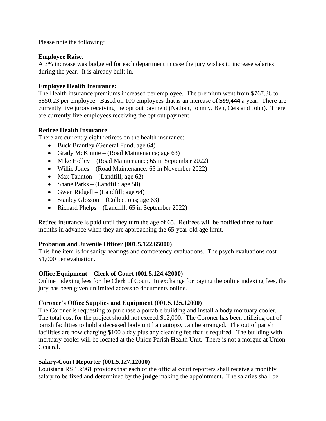Please note the following:

#### **Employee Raise**:

A 3% increase was budgeted for each department in case the jury wishes to increase salaries during the year. It is already built in.

#### **Employee Health Insurance:**

The Health insurance premiums increased per employee. The premium went from \$767.36 to \$850.23 per employee. Based on 100 employees that is an increase of **\$99,444** a year. There are currently five jurors receiving the opt out payment (Nathan, Johnny, Ben, Ceis and John). There are currently five employees receiving the opt out payment.

#### **Retiree Health Insurance**

There are currently eight retirees on the health insurance:

- Buck Brantley (General Fund; age 64)
- Grady McKinnie (Road Maintenance; age 63)
- Mike Holley (Road Maintenance; 65 in September 2022)
- Willie Jones (Road Maintenance; 65 in November 2022)
- Max Taunton (Landfill; age  $62$ )
- Shane Parks (Landfill; age 58)
- Gwen Ridgell (Landfill; age 64)
- Stanley Glosson (Collections; age 63)
- Richard Phelps (Landfill; 65 in September 2022)

Retiree insurance is paid until they turn the age of 65. Retirees will be notified three to four months in advance when they are approaching the 65-year-old age limit.

#### **Probation and Juvenile Officer (001.5.122.65000)**

This line item is for sanity hearings and competency evaluations. The psych evaluations cost \$1,000 per evaluation.

#### **Office Equipment – Clerk of Court (001.5.124.42000)**

Online indexing fees for the Clerk of Court. In exchange for paying the online indexing fees, the jury has been given unlimited access to documents online.

#### **Coroner's Office Supplies and Equipment (001.5.125.12000)**

The Coroner is requesting to purchase a portable building and install a body mortuary cooler. The total cost for the project should not exceed \$12,000. The Coroner has been utilizing out of parish facilities to hold a deceased body until an autopsy can be arranged. The out of parish facilities are now charging \$100 a day plus any cleaning fee that is required. The building with mortuary cooler will be located at the Union Parish Health Unit. There is not a morgue at Union General.

#### **Salary-Court Reporter (001.5.127.12000)**

Louisiana RS 13:961 provides that each of the official court reporters shall receive a monthly salary to be fixed and determined by the **judge** making the appointment. The salaries shall be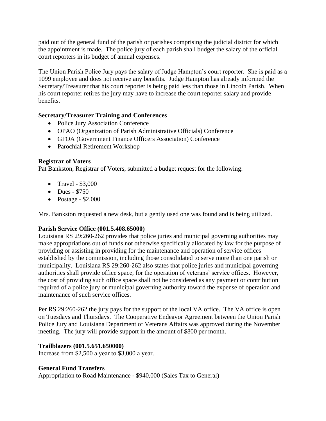paid out of the general fund of the parish or parishes comprising the judicial district for which the appointment is made. The police jury of each parish shall budget the salary of the official court reporters in its budget of annual expenses.

The Union Parish Police Jury pays the salary of Judge Hampton's court reporter. She is paid as a 1099 employee and does not receive any benefits. Judge Hampton has already informed the Secretary/Treasurer that his court reporter is being paid less than those in Lincoln Parish. When his court reporter retires the jury may have to increase the court reporter salary and provide benefits.

#### **Secretary/Treasurer Training and Conferences**

- Police Jury Association Conference
- OPAO (Organization of Parish Administrative Officials) Conference
- GFOA (Government Finance Officers Association) Conference
- Parochial Retirement Workshop

#### **Registrar of Voters**

Pat Bankston, Registrar of Voters, submitted a budget request for the following:

- Travel \$3,000
- Dues \$750
- Postage  $$2,000$

Mrs. Bankston requested a new desk, but a gently used one was found and is being utilized.

#### **Parish Service Office (001.5.408.65000)**

Louisiana RS 29:260-262 provides that police juries and municipal governing authorities may make appropriations out of funds not otherwise specifically allocated by law for the purpose of providing or assisting in providing for the maintenance and operation of service offices established by the commission, including those consolidated to serve more than one parish or municipality. Louisiana RS 29:260-262 also states that police juries and municipal governing authorities shall provide office space, for the operation of veterans' service offices. However, the cost of providing such office space shall not be considered as any payment or contribution required of a police jury or municipal governing authority toward the expense of operation and maintenance of such service offices.

Per RS 29:260-262 the jury pays for the support of the local VA office. The VA office is open on Tuesdays and Thursdays. The Cooperative Endeavor Agreement between the Union Parish Police Jury and Louisiana Department of Veterans Affairs was approved during the November meeting. The jury will provide support in the amount of \$800 per month.

#### **Trailblazers (001.5.651.650000)**

Increase from \$2,500 a year to \$3,000 a year.

#### **General Fund Transfers**

Appropriation to Road Maintenance - \$940,000 (Sales Tax to General)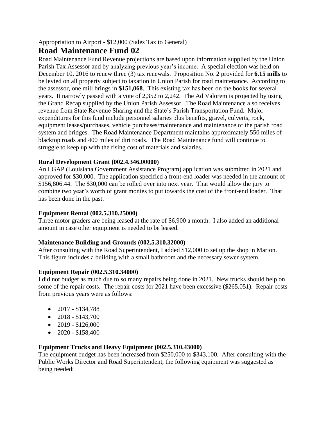Appropriation to Airport - \$12,000 (Sales Tax to General)

### **Road Maintenance Fund 02**

Road Maintenance Fund Revenue projections are based upon information supplied by the Union Parish Tax Assessor and by analyzing previous year's income. A special election was held on December 10, 2016 to renew three (3) tax renewals. Proposition No. 2 provided for **6.15 mills** to be levied on all property subject to taxation in Union Parish for road maintenance. According to the assessor, one mill brings in **\$151,068**. This existing tax has been on the books for several years. It narrowly passed with a vote of 2,352 to 2,242. The Ad Valorem is projected by using the Grand Recap supplied by the Union Parish Assessor. The Road Maintenance also receives revenue from State Revenue Sharing and the State's Parish Transportation Fund. Major expenditures for this fund include personnel salaries plus benefits, gravel, culverts, rock, equipment leases/purchases, vehicle purchases/maintenance and maintenance of the parish road system and bridges. The Road Maintenance Department maintains approximately 550 miles of blacktop roads and 400 miles of dirt roads. The Road Maintenance fund will continue to struggle to keep up with the rising cost of materials and salaries.

#### **Rural Development Grant (002.4.346.00000)**

An LGAP (Louisiana Government Assistance Program) application was submitted in 2021 and approved for \$30,000. The application specified a front-end loader was needed in the amount of \$156,806.44. The \$30,000 can be rolled over into next year. That would allow the jury to combine two year's worth of grant monies to put towards the cost of the front-end loader. That has been done in the past.

#### **Equipment Rental (002.5.310.25000)**

Three motor graders are being leased at the rate of \$6,900 a month. I also added an additional amount in case other equipment is needed to be leased.

#### **Maintenance Building and Grounds (002.5.310.32000)**

After consulting with the Road Superintendent, I added \$12,000 to set up the shop in Marion. This figure includes a building with a small bathroom and the necessary sewer system.

#### **Equipment Repair (002.5.310.34000)**

I did not budget as much due to so many repairs being done in 2021. New trucks should help on some of the repair costs. The repair costs for 2021 have been excessive (\$265,051). Repair costs from previous years were as follows:

- $2017 $134,788$
- $2018 $143,700$
- $2019 $126,000$
- $2020 $158,400$

#### **Equipment Trucks and Heavy Equipment (002.5.310.43000)**

The equipment budget has been increased from \$250,000 to \$343,100. After consulting with the Public Works Director and Road Superintendent, the following equipment was suggested as being needed: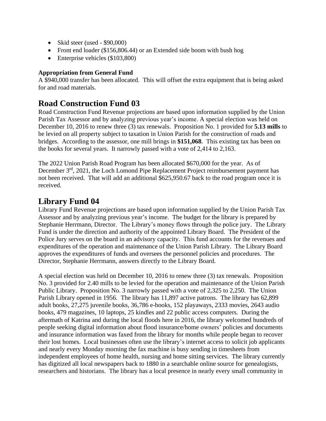- Skid steer (used \$90,000)
- Front end loader (\$156,806.44) or an Extended side boom with bush hog
- Enterprise vehicles (\$103,800)

#### **Appropriation from General Fund**

A \$940,000 transfer has been allocated. This will offset the extra equipment that is being asked for and road materials.

## **Road Construction Fund 03**

Road Construction Fund Revenue projections are based upon information supplied by the Union Parish Tax Assessor and by analyzing previous year's income. A special election was held on December 10, 2016 to renew three (3) tax renewals. Proposition No. 1 provided for **5.13 mills** to be levied on all property subject to taxation in Union Parish for the construction of roads and bridges. According to the assessor, one mill brings in **\$151,068**. This existing tax has been on the books for several years. It narrowly passed with a vote of 2,414 to 2,163.

The 2022 Union Parish Road Program has been allocated \$670,000 for the year. As of December 3<sup>rd</sup>, 2021, the Loch Lomond Pipe Replacement Project reimbursement payment has not been received. That will add an additional \$625,950.67 back to the road program once it is received.

### **Library Fund 04**

Library Fund Revenue projections are based upon information supplied by the Union Parish Tax Assessor and by analyzing previous year's income. The budget for the library is prepared by Stephanie Herrmann, Director. The Library's money flows through the police jury. The Library Fund is under the direction and authority of the appointed Library Board. The President of the Police Jury serves on the board in an advisory capacity. This fund accounts for the revenues and expenditures of the operation and maintenance of the Union Parish Library. The Library Board approves the expenditures of funds and oversees the personnel policies and procedures. The Director, Stephanie Herrmann, answers directly to the Library Board.

A special election was held on December 10, 2016 to renew three (3) tax renewals. Proposition No. 3 provided for 2.40 mills to be levied for the operation and maintenance of the Union Parish Public Library. Proposition No. 3 narrowly passed with a vote of 2,325 to 2,250. The Union Parish Library opened in 1956. The library has 11,897 active patrons. The library has 62,899 adult books, 27,275 juvenile books, 36,786 e-books, 152 playaways, 2333 movies, 2643 audio books, 479 magazines, 10 laptops, 25 kindles and 22 public access computers. During the aftermath of Katrina and during the local floods here in 2016, the library welcomed hundreds of people seeking digital information about flood insurance/home owners' policies and documents and insurance information was faxed from the library for months while people began to recover their lost homes. Local businesses often use the library's internet access to solicit job applicants and nearly every Monday morning the fax machine is busy sending in timesheets from independent employees of home health, nursing and home sitting services. The library currently has digitized all local newspapers back to 1880 in a searchable online source for genealogists, researchers and historians. The library has a local presence in nearly every small community in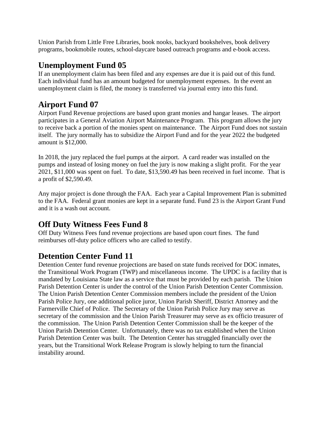Union Parish from Little Free Libraries, book nooks, backyard bookshelves, book delivery programs, bookmobile routes, school-daycare based outreach programs and e-book access.

## **Unemployment Fund 05**

If an unemployment claim has been filed and any expenses are due it is paid out of this fund. Each individual fund has an amount budgeted for unemployment expenses. In the event an unemployment claim is filed, the money is transferred via journal entry into this fund.

# **Airport Fund 07**

Airport Fund Revenue projections are based upon grant monies and hangar leases. The airport participates in a General Aviation Airport Maintenance Program. This program allows the jury to receive back a portion of the monies spent on maintenance. The Airport Fund does not sustain itself. The jury normally has to subsidize the Airport Fund and for the year 2022 the budgeted amount is \$12,000.

In 2018, the jury replaced the fuel pumps at the airport. A card reader was installed on the pumps and instead of losing money on fuel the jury is now making a slight profit. For the year 2021, \$11,000 was spent on fuel. To date, \$13,590.49 has been received in fuel income. That is a profit of \$2,590.49.

Any major project is done through the FAA. Each year a Capital Improvement Plan is submitted to the FAA. Federal grant monies are kept in a separate fund. Fund 23 is the Airport Grant Fund and it is a wash out account.

# **Off Duty Witness Fees Fund 8**

Off Duty Witness Fees fund revenue projections are based upon court fines. The fund reimburses off-duty police officers who are called to testify.

# **Detention Center Fund 11**

Detention Center fund revenue projections are based on state funds received for DOC inmates, the Transitional Work Program (TWP) and miscellaneous income. The UPDC is a facility that is mandated by Louisiana State law as a service that must be provided by each parish. The Union Parish Detention Center is under the control of the Union Parish Detention Center Commission. The Union Parish Detention Center Commission members include the president of the Union Parish Police Jury, one additional police juror, Union Parish Sheriff, District Attorney and the Farmerville Chief of Police. The Secretary of the Union Parish Police Jury may serve as secretary of the commission and the Union Parish Treasurer may serve as ex officio treasurer of the commission. The Union Parish Detention Center Commission shall be the keeper of the Union Parish Detention Center. Unfortunately, there was no tax established when the Union Parish Detention Center was built. The Detention Center has struggled financially over the years, but the Transitional Work Release Program is slowly helping to turn the financial instability around.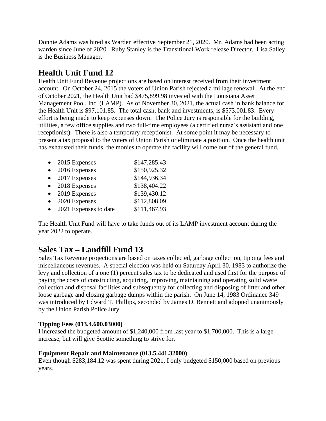Donnie Adams was hired as Warden effective September 21, 2020. Mr. Adams had been acting warden since June of 2020. Ruby Stanley is the Transitional Work release Director. Lisa Salley is the Business Manager.

# **Health Unit Fund 12**

Health Unit Fund Revenue projections are based on interest received from their investment account. On October 24, 2015 the voters of Union Parish rejected a millage renewal. At the end of October 2021, the Health Unit had \$475,899.98 invested with the Louisiana Asset Management Pool, Inc. (LAMP). As of November 30, 2021, the actual cash in bank balance for the Health Unit is \$97,101.85. The total cash, bank and investments, is \$573,001.83. Every effort is being made to keep expenses down. The Police Jury is responsible for the building, utilities, a few office supplies and two full-time employees (a certified nurse's assistant and one receptionist). There is also a temporary receptionist. At some point it may be necessary to present a tax proposal to the voters of Union Parish or eliminate a position. Once the health unit has exhausted their funds, the monies to operate the facility will come out of the general fund.

| 2015 Expenses         | \$147,285.43 |
|-----------------------|--------------|
| 2016 Expenses         | \$150,925.32 |
| 2017 Expenses         | \$144,936.34 |
| 2018 Expenses         | \$138,404.22 |
| 2019 Expenses         | \$139,430.12 |
| 2020 Expenses         | \$112,808.09 |
| 2021 Expenses to date | \$111,467.93 |
|                       |              |

The Health Unit Fund will have to take funds out of its LAMP investment account during the year 2022 to operate.

# **Sales Tax – Landfill Fund 13**

Sales Tax Revenue projections are based on taxes collected, garbage collection, tipping fees and miscellaneous revenues. A special election was held on Saturday April 30, 1983 to authorize the levy and collection of a one (1) percent sales tax to be dedicated and used first for the purpose of paying the costs of constructing, acquiring, improving, maintaining and operating solid waste collection and disposal facilities and subsequently for collecting and disposing of litter and other loose garbage and closing garbage dumps within the parish. On June 14, 1983 Ordinance 349 was introduced by Edward T. Phillips, seconded by James D. Bennett and adopted unanimously by the Union Parish Police Jury.

#### **Tipping Fees (013.4.600.03000)**

I increased the budgeted amount of \$1,240,000 from last year to \$1,700,000. This is a large increase, but will give Scottie something to strive for.

#### **Equipment Repair and Maintenance (013.5.441.32000)**

Even though \$283,184.12 was spent during 2021, I only budgeted \$150,000 based on previous years.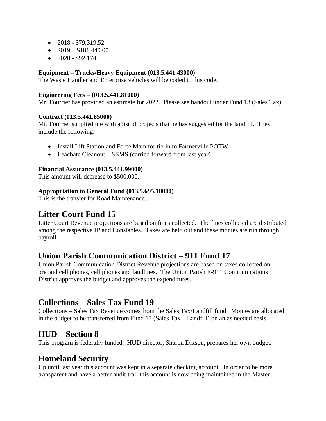- $2018 $79,319.52$
- $2019 $181,440.00$
- $2020 $92,174$

#### **Equipment – Trucks/Heavy Equipment (013.5.441.43000)**

The Waste Handler and Enterprise vehicles will be coded to this code.

#### **Engineering Fees – (013.5.441.81000)**

Mr. Fourrier has provided an estimate for 2022. Please see handout under Fund 13 (Sales Tax).

#### **Contract (013.5.441.85000)**

Mr. Fourrier supplied me with a list of projects that he has suggested for the landfill. They include the following:

- Install Lift Station and Force Main for tie-in to Farmerville POTW
- Leachate Cleanout SEMS (carried forward from last year)

#### **Financial Assurance (013.5.441.99000)**

This amount will decrease to \$500,000.

#### **Appropriation to General Fund (013.5.695.10000)**

This is the transfer for Road Maintenance.

## **Litter Court Fund 15**

Litter Court Revenue projections are based on fines collected. The fines collected are distributed among the respective JP and Constables. Taxes are held out and these monies are run through payroll.

## **Union Parish Communication District – 911 Fund 17**

Union Parish Communication District Revenue projections are based on taxes collected on prepaid cell phones, cell phones and landlines. The Union Parish E-911 Communications District approves the budget and approves the expenditures.

## **Collections – Sales Tax Fund 19**

Collections – Sales Tax Revenue comes from the Sales Tax/Landfill fund. Monies are allocated in the budget to be transferred from Fund 13 (Sales Tax – Landfill) on an as needed basis.

## **HUD – Section 8**

This program is federally funded. HUD director, Sharon Dixson, prepares her own budget.

## **Homeland Security**

Up until last year this account was kept in a separate checking account. In order to be more transparent and have a better audit trail this account is now being maintained in the Master